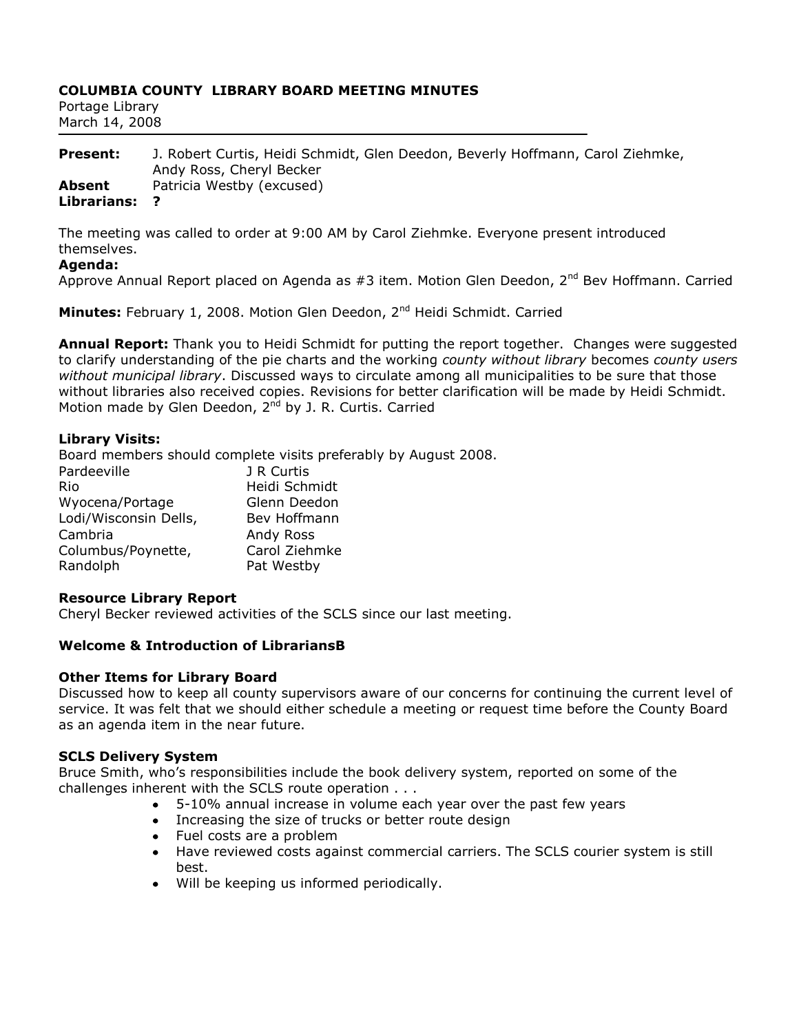# **COLUMBIA COUNTY LIBRARY BOARD MEETING MINUTES**

| Portage Library |  |
|-----------------|--|
| March 14, 2008  |  |

| <b>Present:</b> | J. Robert Curtis, Heidi Schmidt, Glen Deedon, Beverly Hoffmann, Carol Ziehmke, |
|-----------------|--------------------------------------------------------------------------------|
|                 | Andy Ross, Cheryl Becker                                                       |
| Absent          | Patricia Westby (excused)                                                      |
| Librarians:     |                                                                                |

The meeting was called to order at 9:00 AM by Carol Ziehmke. Everyone present introduced themselves.

#### **Agenda:**

Approve Annual Report placed on Agenda as  $#3$  item. Motion Glen Deedon,  $2^{nd}$  Bev Hoffmann. Carried

**Minutes:** February 1, 2008. Motion Glen Deedon, 2<sup>nd</sup> Heidi Schmidt. Carried

**Annual Report:** Thank you to Heidi Schmidt for putting the report together. Changes were suggested to clarify understanding of the pie charts and the working *county without library* becomes *county users without municipal library*. Discussed ways to circulate among all municipalities to be sure that those without libraries also received copies. Revisions for better clarification will be made by Heidi Schmidt. Motion made by Glen Deedon, 2<sup>nd</sup> by J. R. Curtis. Carried

#### **Library Visits:**

Board members should complete visits preferably by August 2008.

| J R Curtis    |
|---------------|
| Heidi Schmidt |
| Glenn Deedon  |
| Bev Hoffmann  |
| Andy Ross     |
| Carol Ziehmke |
| Pat Westby    |
|               |

#### **Resource Library Report**

Cheryl Becker reviewed activities of the SCLS since our last meeting.

#### **Welcome & Introduction of LibrariansB**

#### **Other Items for Library Board**

Discussed how to keep all county supervisors aware of our concerns for continuing the current level of service. It was felt that we should either schedule a meeting or request time before the County Board as an agenda item in the near future.

#### **SCLS Delivery System**

Bruce Smith, who's responsibilities include the book delivery system, reported on some of the challenges inherent with the SCLS route operation . . .

- 5-10% annual increase in volume each year over the past few years
- Increasing the size of trucks or better route design
- Fuel costs are a problem
- Have reviewed costs against commercial carriers. The SCLS courier system is still best.
- Will be keeping us informed periodically.